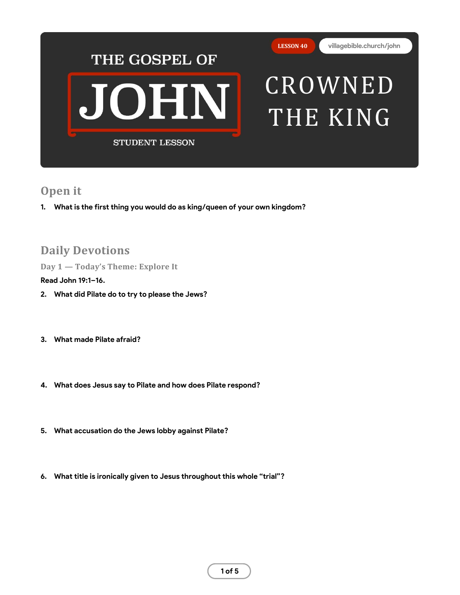

## **Open it**

**1. What is the first thing you would do as king/queen of your own kingdom?**

# **Daily Devotions**

**Day 1 — Today's Theme: Explore It**

## **Read John 19:1–16.**

- **2. What did Pilate do to try to please the Jews?**
- **3. What made Pilate afraid?**
- **4. What does Jesus say to Pilate and how does Pilate respond?**
- **5. What accusation do the Jews lobby against Pilate?**
- **6. What title is ironically given to Jesus throughout this whole "trial"?**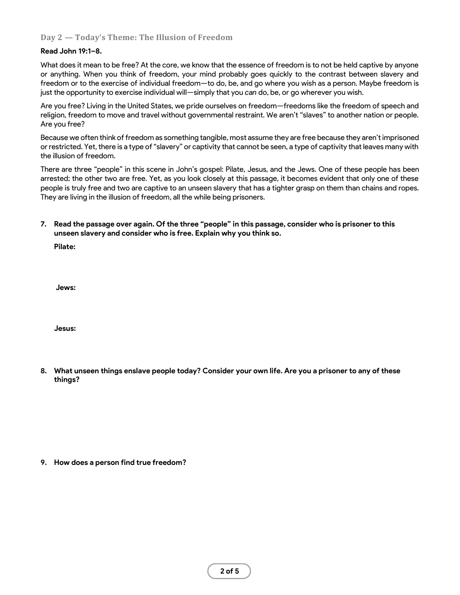## **Day 2 — Today's Theme: The Illusion of Freedom**

#### **Read John 19:1–8.**

What does it mean to be free? At the core, we know that the essence of freedom is to not be held captive by anyone or anything. When you think of freedom, your mind probably goes quickly to the contrast between slavery and freedom or to the exercise of individual freedom—to do, be, and go where you wish as a person. Maybe freedom is just the opportunity to exercise individual will—simply that you *can* do, be, or go wherever you wish.

Are you free? Living in the United States, we pride ourselves on freedom—freedoms like the freedom of speech and religion, freedom to move and travel without governmental restraint. We aren't "slaves" to another nation or people. Are you free?

Because we often think of freedom as something tangible, most assume they are free because they aren't imprisoned or restricted. Yet, there is a type of "slavery" or captivity that cannot be seen, a type of captivity that leaves many with the illusion of freedom.

There are three "people" in this scene in John's gospel: Pilate, Jesus, and the Jews. One of these people has been arrested; the other two are free. Yet, as you look closely at this passage, it becomes evident that only one of these people is truly free and two are captive to an unseen slavery that has a tighter grasp on them than chains and ropes. They are living in the illusion of freedom, all the while being prisoners.

**7. Read the passage over again. Of the three "people" in this passage, consider who is prisoner to this unseen slavery and consider who is free. Explain why you think so.**

**Pilate:** 

**Jews:** 

**Jesus:** 

**8. What unseen things enslave people today? Consider your own life. Are you a prisoner to any of these things?**

**9. How does a person find true freedom?**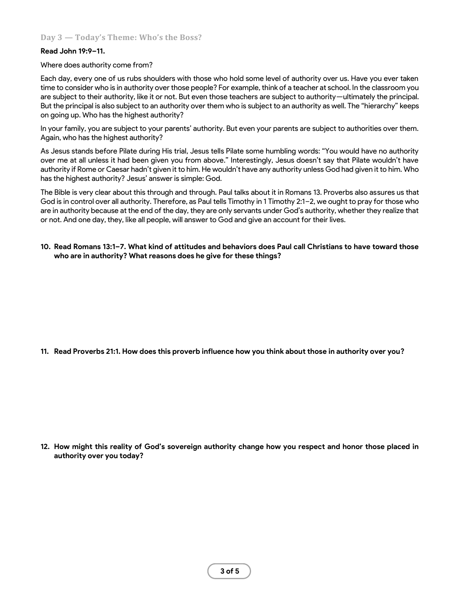## **Read John 19:9–11.**

### Where does authority come from?

Each day, every one of us rubs shoulders with those who hold some level of authority over us. Have you ever taken time to consider who is in authority over those people? For example, think of a teacher at school. In the classroom you are subject to their authority, like it or not. But even those teachers are subject to authority—ultimately the principal. But the principal is also subject to an authority over them who is subject to an authority as well. The "hierarchy" keeps on going up. Who has the highest authority?

In your family, you are subject to your parents' authority. But even your parents are subject to authorities over them. Again, who has the highest authority?

As Jesus stands before Pilate during His trial, Jesus tells Pilate some humbling words: "You would have no authority over me at all unless it had been given you from above." Interestingly, Jesus doesn't say that Pilate wouldn't have authority if Rome or Caesar hadn't given it to him. He wouldn't have any authority unless God had given it to him. Who has the highest authority? Jesus' answer is simple: God.

The Bible is very clear about this through and through. Paul talks about it in Romans 13. Proverbs also assures us that God is in control over all authority. Therefore, as Paul tells Timothy in 1 Timothy 2:1–2, we ought to pray for those who are in authority because at the end of the day, they are only servants under God's authority, whether they realize that or not. And one day, they, like all people, will answer to God and give an account for their lives.

**10. Read Romans 13:1–7. What kind of attitudes and behaviors does Paul call Christians to have toward those who are in authority? What reasons does he give for these things?**

**11. Read Proverbs 21:1. How does this proverb influence how you think about those in authority over you?**

**12. How might this reality of God's sovereign authority change how you respect and honor those placed in authority over you today?**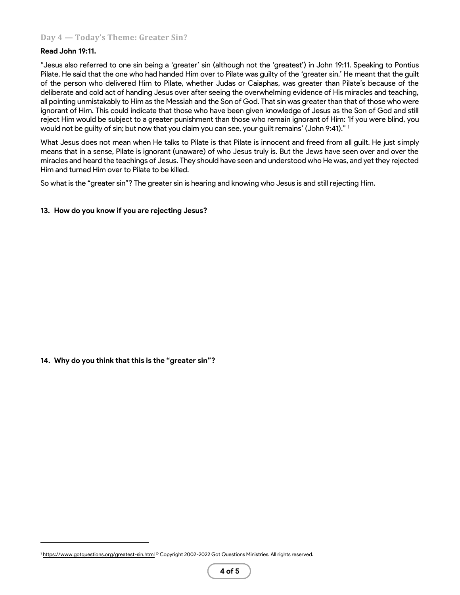## **Day 4 — Today's Theme: Greater Sin?**

### **Read John 19:11.**

"Jesus also referred to one sin being a 'greater' sin (although not the 'greatest') in John 19:11. Speaking to Pontius Pilate, He said that the one who had handed Him over to Pilate was guilty of the 'greater sin.' He meant that the guilt of the person who delivered Him to Pilate, whether Judas or Caiaphas, was greater than Pilate's because of the deliberate and cold act of handing Jesus over after seeing the overwhelming evidence of His miracles and teaching, all pointing unmistakably to Him as the Messiah and the Son of God. That sin was greater than that of those who were ignorant of Him. This could indicate that those who have been given knowledge of Jesus as the Son of God and still reject Him would be subject to a greater punishment than those who remain ignorant of Him: 'If you were blind, you would not be guilty of sin; but now that you claim you can see, your guilt remains' (John 9:41)." <sup>1</sup>

What Jesus does not mean when He talks to Pilate is that Pilate is innocent and freed from all guilt. He just simply means that in a sense, Pilate is ignorant (unaware) of who Jesus truly is. But the Jews have seen over and over the miracles and heard the teachings of Jesus. They should have seen and understood who He was, and yet they rejected Him and turned Him over to Pilate to be killed.

So what is the "greater sin"? The greater sin is hearing and knowing who Jesus is and still rejecting Him.

#### **13. How do you know if you are rejecting Jesus?**

**14. Why do you think that this is the "greater sin"?**

Inttps://www.gotquestions.org/greatest-sin.html © Copyright 2002-2022 Got Questions Ministries. All rights reserved.